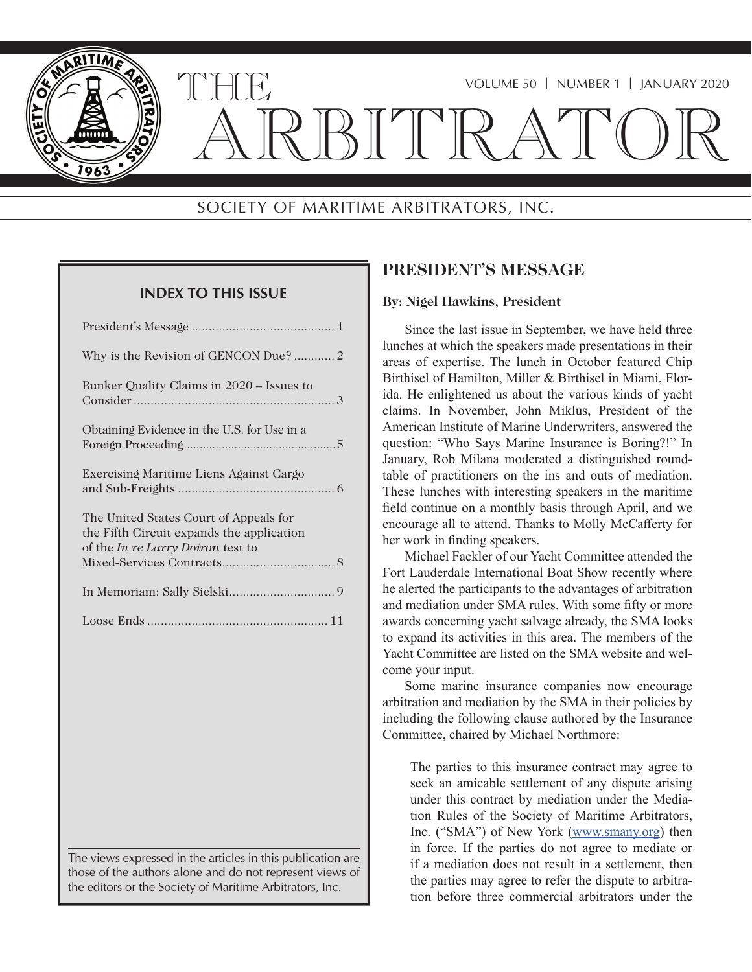

## VOLUME 50 | NUMBER 1 | JANUARY 2020

# ARBITRATOR

## SOCIETY OF MARITIME ARBITRATORS, INC.

## **INDEX TO THIS ISSUE**

THE

| Why is the Revision of GENCON Due? 2                                                                                            |
|---------------------------------------------------------------------------------------------------------------------------------|
| Bunker Quality Claims in 2020 – Issues to                                                                                       |
| Obtaining Evidence in the U.S. for Use in a                                                                                     |
| Exercising Maritime Liens Against Cargo                                                                                         |
| The United States Court of Appeals for<br>the Fifth Circuit expands the application<br>of the <i>In re Larry Doiron</i> test to |
|                                                                                                                                 |
|                                                                                                                                 |

The views expressed in the articles in this publication are those of the authors alone and do not represent views of the editors or the Society of Maritime Arbitrators, Inc.

## **PRESIDENT'S MESSAGE**

#### **By: Nigel Hawkins, President**

Since the last issue in September, we have held three lunches at which the speakers made presentations in their areas of expertise. The lunch in October featured Chip Birthisel of Hamilton, Miller & Birthisel in Miami, Florida. He enlightened us about the various kinds of yacht claims. In November, John Miklus, President of the American Institute of Marine Underwriters, answered the question: "Who Says Marine Insurance is Boring?!" In January, Rob Milana moderated a distinguished roundtable of practitioners on the ins and outs of mediation. These lunches with interesting speakers in the maritime field continue on a monthly basis through April, and we encourage all to attend. Thanks to Molly McCafferty for her work in finding speakers.

Michael Fackler of our Yacht Committee attended the Fort Lauderdale International Boat Show recently where he alerted the participants to the advantages of arbitration and mediation under SMA rules. With some fifty or more awards concerning yacht salvage already, the SMA looks to expand its activities in this area. The members of the Yacht Committee are listed on the SMA website and welcome your input.

Some marine insurance companies now encourage arbitration and mediation by the SMA in their policies by including the following clause authored by the Insurance Committee, chaired by Michael Northmore:

The parties to this insurance contract may agree to seek an amicable settlement of any dispute arising under this contract by mediation under the Mediation Rules of the Society of Maritime Arbitrators, Inc. ("SMA") of New York (www.smany.org) then in force. If the parties do not agree to mediate or if a mediation does not result in a settlement, then the parties may agree to refer the dispute to arbitration before three commercial arbitrators under the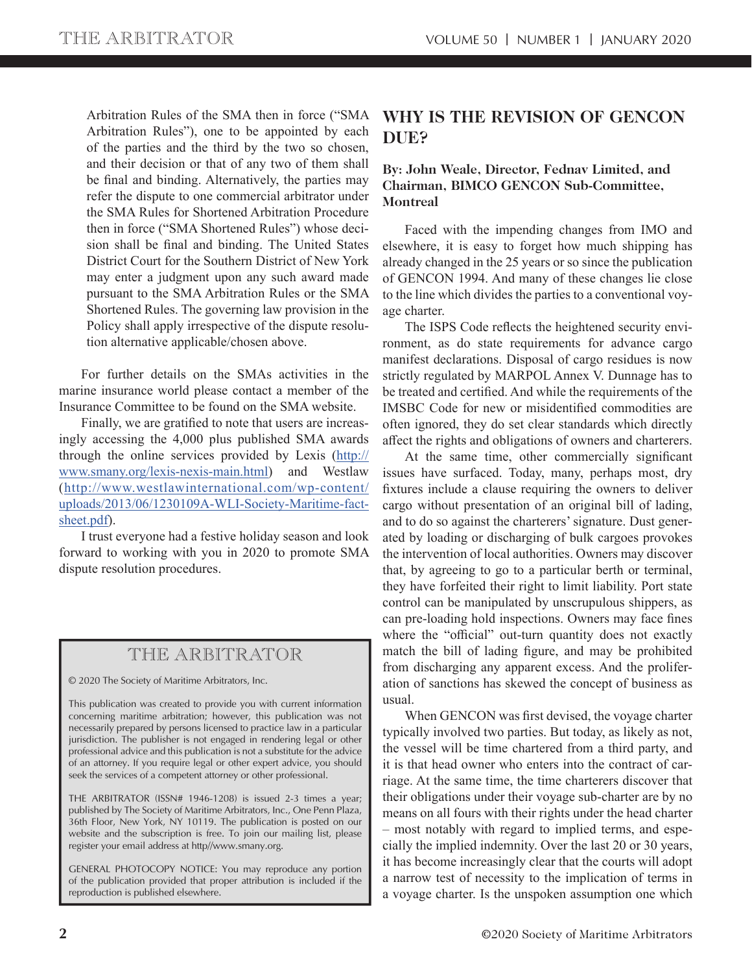Arbitration Rules of the SMA then in force ("SMA Arbitration Rules"), one to be appointed by each of the parties and the third by the two so chosen, and their decision or that of any two of them shall be final and binding. Alternatively, the parties may refer the dispute to one commercial arbitrator under the SMA Rules for Shortened Arbitration Procedure then in force ("SMA Shortened Rules") whose decision shall be final and binding. The United States District Court for the Southern District of New York may enter a judgment upon any such award made pursuant to the SMA Arbitration Rules or the SMA Shortened Rules. The governing law provision in the Policy shall apply irrespective of the dispute resolution alternative applicable/chosen above.

For further details on the SMAs activities in the marine insurance world please contact a member of the Insurance Committee to be found on the SMA website.

Finally, we are gratified to note that users are increasingly accessing the 4,000 plus published SMA awards through the online services provided by Lexis (http:// www.smany.org/lexis-nexis-main.html) and Westlaw (http://www.westlawinternational.com/wp-content/ uploads/2013/06/1230109A-WLI-Society-Maritime-factsheet.pdf).

I trust everyone had a festive holiday season and look forward to working with you in 2020 to promote SMA dispute resolution procedures.

## THE ARBITRATOR

© 2020 The Society of Maritime Arbitrators, Inc.

This publication was created to provide you with current information concerning maritime arbitration; however, this publication was not necessarily prepared by persons licensed to practice law in a particular jurisdiction. The publisher is not engaged in rendering legal or other professional advice and this publication is not a substitute for the advice of an attorney. If you require legal or other expert advice, you should seek the services of a competent attorney or other professional.

THE ARBITRATOR (ISSN# 1946-1208) is issued 2-3 times a year; published by The Society of Maritime Arbitrators, Inc., One Penn Plaza, 36th Floor, New York, NY 10119. The publication is posted on our website and the subscription is free. To join our mailing list, please register your email address at http//www.smany.org.

GENERAL PHOTOCOPY NOTICE: You may reproduce any portion of the publication provided that proper attribution is included if the reproduction is published elsewhere.

## **WHY IS THE REVISION OF GENCON DUE?**

#### **By: John Weale, Director, Fednav Limited, and Chairman, BIMCO GENCON Sub-Committee, Montreal**

Faced with the impending changes from IMO and elsewhere, it is easy to forget how much shipping has already changed in the 25 years or so since the publication of GENCON 1994. And many of these changes lie close to the line which divides the parties to a conventional voyage charter.

The ISPS Code reflects the heightened security environment, as do state requirements for advance cargo manifest declarations. Disposal of cargo residues is now strictly regulated by MARPOL Annex V. Dunnage has to be treated and certified. And while the requirements of the IMSBC Code for new or misidentified commodities are often ignored, they do set clear standards which directly affect the rights and obligations of owners and charterers.

At the same time, other commercially significant issues have surfaced. Today, many, perhaps most, dry fixtures include a clause requiring the owners to deliver cargo without presentation of an original bill of lading, and to do so against the charterers' signature. Dust generated by loading or discharging of bulk cargoes provokes the intervention of local authorities. Owners may discover that, by agreeing to go to a particular berth or terminal, they have forfeited their right to limit liability. Port state control can be manipulated by unscrupulous shippers, as can pre-loading hold inspections. Owners may face fines where the "official" out-turn quantity does not exactly match the bill of lading figure, and may be prohibited from discharging any apparent excess. And the proliferation of sanctions has skewed the concept of business as usual.

When GENCON was first devised, the voyage charter typically involved two parties. But today, as likely as not, the vessel will be time chartered from a third party, and it is that head owner who enters into the contract of carriage. At the same time, the time charterers discover that their obligations under their voyage sub-charter are by no means on all fours with their rights under the head charter – most notably with regard to implied terms, and especially the implied indemnity. Over the last 20 or 30 years, it has become increasingly clear that the courts will adopt a narrow test of necessity to the implication of terms in a voyage charter. Is the unspoken assumption one which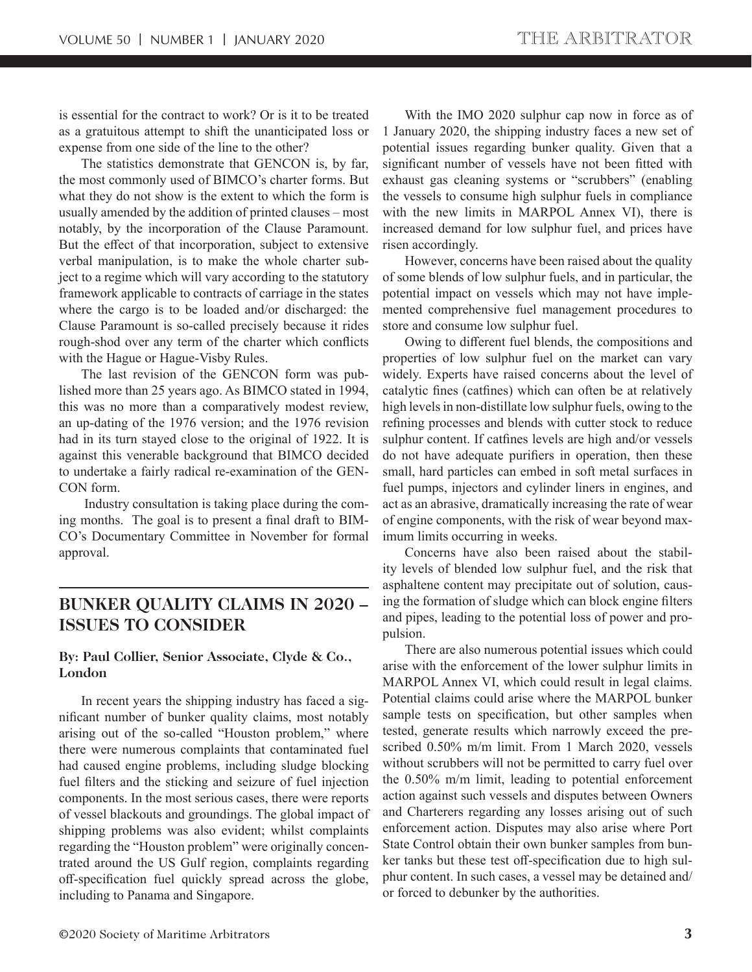is essential for the contract to work? Or is it to be treated as a gratuitous attempt to shift the unanticipated loss or expense from one side of the line to the other?

The statistics demonstrate that GENCON is, by far, the most commonly used of BIMCO's charter forms. But what they do not show is the extent to which the form is usually amended by the addition of printed clauses – most notably, by the incorporation of the Clause Paramount. But the effect of that incorporation, subject to extensive verbal manipulation, is to make the whole charter subject to a regime which will vary according to the statutory framework applicable to contracts of carriage in the states where the cargo is to be loaded and/or discharged: the Clause Paramount is so-called precisely because it rides rough-shod over any term of the charter which conflicts with the Hague or Hague-Visby Rules.

The last revision of the GENCON form was published more than 25 years ago. As BIMCO stated in 1994, this was no more than a comparatively modest review, an up-dating of the 1976 version; and the 1976 revision had in its turn stayed close to the original of 1922. It is against this venerable background that BIMCO decided to undertake a fairly radical re-examination of the GEN-CON form.

 Industry consultation is taking place during the coming months. The goal is to present a final draft to BIM-CO's Documentary Committee in November for formal approval.

## **BUNKER QUALITY CLAIMS IN 2020 – ISSUES TO CONSIDER**

#### **By: Paul Collier, Senior Associate, Clyde & Co., London**

In recent years the shipping industry has faced a significant number of bunker quality claims, most notably arising out of the so-called "Houston problem," where there were numerous complaints that contaminated fuel had caused engine problems, including sludge blocking fuel filters and the sticking and seizure of fuel injection components. In the most serious cases, there were reports of vessel blackouts and groundings. The global impact of shipping problems was also evident; whilst complaints regarding the "Houston problem" were originally concentrated around the US Gulf region, complaints regarding off-specification fuel quickly spread across the globe, including to Panama and Singapore.

With the IMO 2020 sulphur cap now in force as of 1 January 2020, the shipping industry faces a new set of potential issues regarding bunker quality. Given that a significant number of vessels have not been fitted with exhaust gas cleaning systems or "scrubbers" (enabling the vessels to consume high sulphur fuels in compliance with the new limits in MARPOL Annex VI), there is increased demand for low sulphur fuel, and prices have risen accordingly.

However, concerns have been raised about the quality of some blends of low sulphur fuels, and in particular, the potential impact on vessels which may not have implemented comprehensive fuel management procedures to store and consume low sulphur fuel.

Owing to different fuel blends, the compositions and properties of low sulphur fuel on the market can vary widely. Experts have raised concerns about the level of catalytic fines (catfines) which can often be at relatively high levels in non-distillate low sulphur fuels, owing to the refining processes and blends with cutter stock to reduce sulphur content. If catfines levels are high and/or vessels do not have adequate purifiers in operation, then these small, hard particles can embed in soft metal surfaces in fuel pumps, injectors and cylinder liners in engines, and act as an abrasive, dramatically increasing the rate of wear of engine components, with the risk of wear beyond maximum limits occurring in weeks.

Concerns have also been raised about the stability levels of blended low sulphur fuel, and the risk that asphaltene content may precipitate out of solution, causing the formation of sludge which can block engine filters and pipes, leading to the potential loss of power and propulsion.

There are also numerous potential issues which could arise with the enforcement of the lower sulphur limits in MARPOL Annex VI, which could result in legal claims. Potential claims could arise where the MARPOL bunker sample tests on specification, but other samples when tested, generate results which narrowly exceed the prescribed 0.50% m/m limit. From 1 March 2020, vessels without scrubbers will not be permitted to carry fuel over the 0.50% m/m limit, leading to potential enforcement action against such vessels and disputes between Owners and Charterers regarding any losses arising out of such enforcement action. Disputes may also arise where Port State Control obtain their own bunker samples from bunker tanks but these test off-specification due to high sulphur content. In such cases, a vessel may be detained and/ or forced to debunker by the authorities.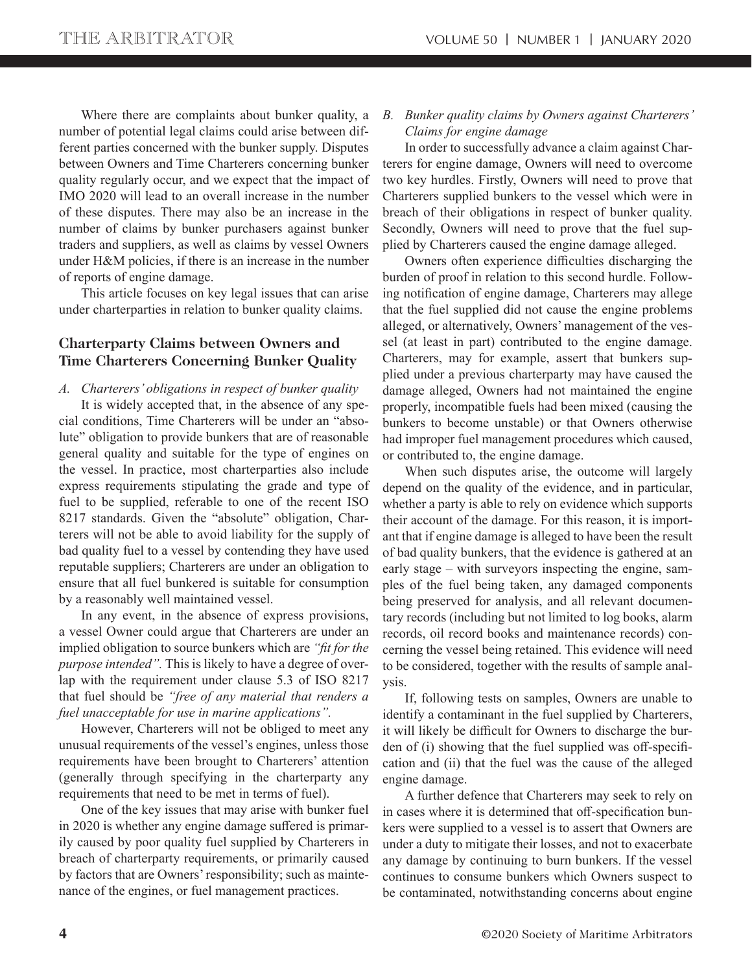Where there are complaints about bunker quality, a number of potential legal claims could arise between different parties concerned with the bunker supply. Disputes between Owners and Time Charterers concerning bunker quality regularly occur, and we expect that the impact of IMO 2020 will lead to an overall increase in the number of these disputes. There may also be an increase in the number of claims by bunker purchasers against bunker traders and suppliers, as well as claims by vessel Owners under H&M policies, if there is an increase in the number of reports of engine damage.

This article focuses on key legal issues that can arise under charterparties in relation to bunker quality claims.

#### **Charterparty Claims between Owners and Time Charterers Concerning Bunker Quality**

*A. Charterers' obligations in respect of bunker quality*

It is widely accepted that, in the absence of any special conditions, Time Charterers will be under an "absolute" obligation to provide bunkers that are of reasonable general quality and suitable for the type of engines on the vessel. In practice, most charterparties also include express requirements stipulating the grade and type of fuel to be supplied, referable to one of the recent ISO 8217 standards. Given the "absolute" obligation, Charterers will not be able to avoid liability for the supply of bad quality fuel to a vessel by contending they have used reputable suppliers; Charterers are under an obligation to ensure that all fuel bunkered is suitable for consumption by a reasonably well maintained vessel.

In any event, in the absence of express provisions, a vessel Owner could argue that Charterers are under an implied obligation to source bunkers which are *"fit for the purpose intended".* This is likely to have a degree of overlap with the requirement under clause 5.3 of ISO 8217 that fuel should be *"free of any material that renders a fuel unacceptable for use in marine applications".*

However, Charterers will not be obliged to meet any unusual requirements of the vessel's engines, unless those requirements have been brought to Charterers' attention (generally through specifying in the charterparty any requirements that need to be met in terms of fuel).

One of the key issues that may arise with bunker fuel in 2020 is whether any engine damage suffered is primarily caused by poor quality fuel supplied by Charterers in breach of charterparty requirements, or primarily caused by factors that are Owners' responsibility; such as maintenance of the engines, or fuel management practices.

#### *B. Bunker quality claims by Owners against Charterers' Claims for engine damage*

In order to successfully advance a claim against Charterers for engine damage, Owners will need to overcome two key hurdles. Firstly, Owners will need to prove that Charterers supplied bunkers to the vessel which were in breach of their obligations in respect of bunker quality. Secondly, Owners will need to prove that the fuel supplied by Charterers caused the engine damage alleged.

Owners often experience difficulties discharging the burden of proof in relation to this second hurdle. Following notification of engine damage, Charterers may allege that the fuel supplied did not cause the engine problems alleged, or alternatively, Owners' management of the vessel (at least in part) contributed to the engine damage. Charterers, may for example, assert that bunkers supplied under a previous charterparty may have caused the damage alleged, Owners had not maintained the engine properly, incompatible fuels had been mixed (causing the bunkers to become unstable) or that Owners otherwise had improper fuel management procedures which caused, or contributed to, the engine damage.

When such disputes arise, the outcome will largely depend on the quality of the evidence, and in particular, whether a party is able to rely on evidence which supports their account of the damage. For this reason, it is important that if engine damage is alleged to have been the result of bad quality bunkers, that the evidence is gathered at an early stage – with surveyors inspecting the engine, samples of the fuel being taken, any damaged components being preserved for analysis, and all relevant documentary records (including but not limited to log books, alarm records, oil record books and maintenance records) concerning the vessel being retained. This evidence will need to be considered, together with the results of sample analysis.

If, following tests on samples, Owners are unable to identify a contaminant in the fuel supplied by Charterers, it will likely be difficult for Owners to discharge the burden of (i) showing that the fuel supplied was off-specification and (ii) that the fuel was the cause of the alleged engine damage.

A further defence that Charterers may seek to rely on in cases where it is determined that off-specification bunkers were supplied to a vessel is to assert that Owners are under a duty to mitigate their losses, and not to exacerbate any damage by continuing to burn bunkers. If the vessel continues to consume bunkers which Owners suspect to be contaminated, notwithstanding concerns about engine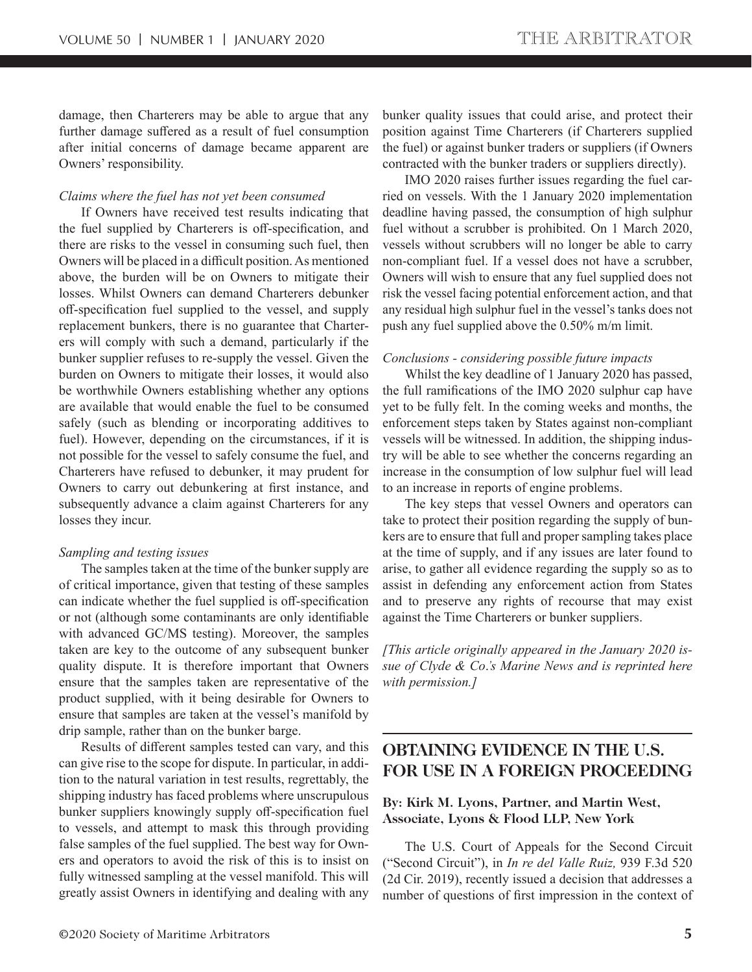damage, then Charterers may be able to argue that any further damage suffered as a result of fuel consumption after initial concerns of damage became apparent are Owners' responsibility.

#### *Claims where the fuel has not yet been consumed*

If Owners have received test results indicating that the fuel supplied by Charterers is off-specification, and there are risks to the vessel in consuming such fuel, then Owners will be placed in a difficult position. As mentioned above, the burden will be on Owners to mitigate their losses. Whilst Owners can demand Charterers debunker off-specification fuel supplied to the vessel, and supply replacement bunkers, there is no guarantee that Charterers will comply with such a demand, particularly if the bunker supplier refuses to re-supply the vessel. Given the burden on Owners to mitigate their losses, it would also be worthwhile Owners establishing whether any options are available that would enable the fuel to be consumed safely (such as blending or incorporating additives to fuel). However, depending on the circumstances, if it is not possible for the vessel to safely consume the fuel, and Charterers have refused to debunker, it may prudent for Owners to carry out debunkering at first instance, and subsequently advance a claim against Charterers for any losses they incur.

#### *Sampling and testing issues*

The samples taken at the time of the bunker supply are of critical importance, given that testing of these samples can indicate whether the fuel supplied is off-specification or not (although some contaminants are only identifiable with advanced GC/MS testing). Moreover, the samples taken are key to the outcome of any subsequent bunker quality dispute. It is therefore important that Owners ensure that the samples taken are representative of the product supplied, with it being desirable for Owners to ensure that samples are taken at the vessel's manifold by drip sample, rather than on the bunker barge.

Results of different samples tested can vary, and this can give rise to the scope for dispute. In particular, in addition to the natural variation in test results, regrettably, the shipping industry has faced problems where unscrupulous bunker suppliers knowingly supply off-specification fuel to vessels, and attempt to mask this through providing false samples of the fuel supplied. The best way for Owners and operators to avoid the risk of this is to insist on fully witnessed sampling at the vessel manifold. This will greatly assist Owners in identifying and dealing with any bunker quality issues that could arise, and protect their position against Time Charterers (if Charterers supplied the fuel) or against bunker traders or suppliers (if Owners contracted with the bunker traders or suppliers directly).

IMO 2020 raises further issues regarding the fuel carried on vessels. With the 1 January 2020 implementation deadline having passed, the consumption of high sulphur fuel without a scrubber is prohibited. On 1 March 2020, vessels without scrubbers will no longer be able to carry non-compliant fuel. If a vessel does not have a scrubber, Owners will wish to ensure that any fuel supplied does not risk the vessel facing potential enforcement action, and that any residual high sulphur fuel in the vessel's tanks does not push any fuel supplied above the 0.50% m/m limit.

#### *Conclusions - considering possible future impacts*

Whilst the key deadline of 1 January 2020 has passed, the full ramifications of the IMO 2020 sulphur cap have yet to be fully felt. In the coming weeks and months, the enforcement steps taken by States against non-compliant vessels will be witnessed. In addition, the shipping industry will be able to see whether the concerns regarding an increase in the consumption of low sulphur fuel will lead to an increase in reports of engine problems.

The key steps that vessel Owners and operators can take to protect their position regarding the supply of bunkers are to ensure that full and proper sampling takes place at the time of supply, and if any issues are later found to arise, to gather all evidence regarding the supply so as to assist in defending any enforcement action from States and to preserve any rights of recourse that may exist against the Time Charterers or bunker suppliers.

*[This article originally appeared in the January 2020 issue of Clyde & Co*.*'s Marine News and is reprinted here with permission.]*

## **OBTAINING EVIDENCE IN THE U.S. FOR USE IN A FOREIGN PROCEEDING**

#### **By: Kirk M. Lyons, Partner, and Martin West, Associate, Lyons & Flood LLP, New York**

The U.S. Court of Appeals for the Second Circuit ("Second Circuit"), in *In re del Valle Ruiz,* 939 F.3d 520 (2d Cir. 2019), recently issued a decision that addresses a number of questions of first impression in the context of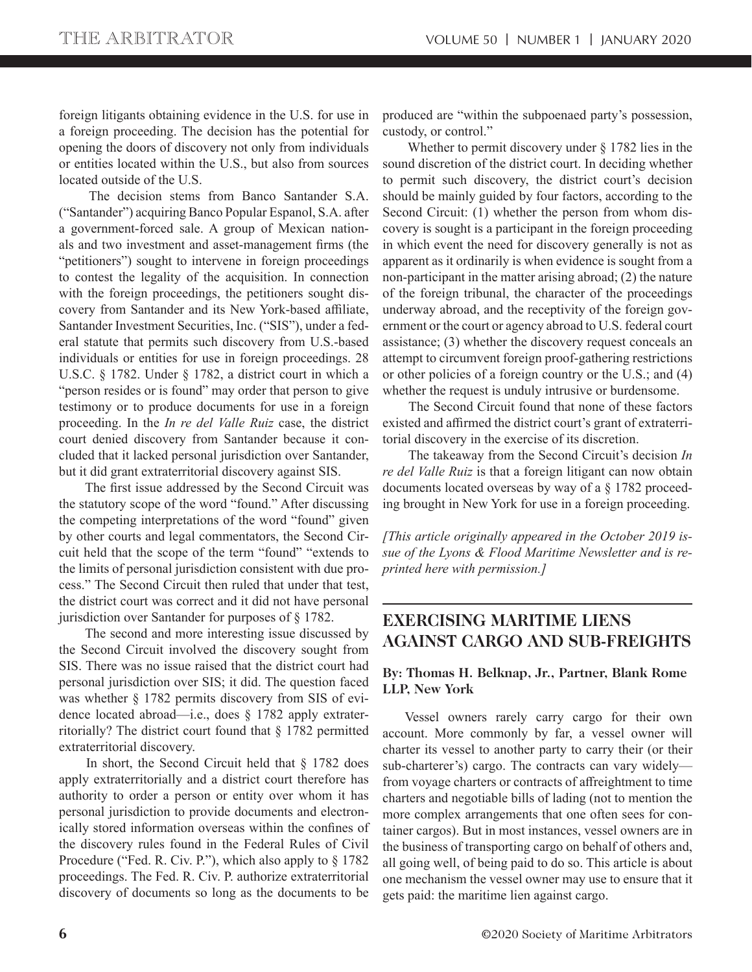foreign litigants obtaining evidence in the U.S. for use in a foreign proceeding. The decision has the potential for opening the doors of discovery not only from individuals or entities located within the U.S., but also from sources located outside of the U.S.

The decision stems from Banco Santander S.A. ("Santander") acquiring Banco Popular Espanol, S.A. after a government-forced sale. A group of Mexican nationals and two investment and asset-management firms (the "petitioners") sought to intervene in foreign proceedings to contest the legality of the acquisition. In connection with the foreign proceedings, the petitioners sought discovery from Santander and its New York-based affiliate, Santander Investment Securities, Inc. ("SIS"), under a federal statute that permits such discovery from U.S.-based individuals or entities for use in foreign proceedings. 28 U.S.C. § 1782. Under § 1782, a district court in which a "person resides or is found" may order that person to give testimony or to produce documents for use in a foreign proceeding. In the *In re del Valle Ruiz* case, the district court denied discovery from Santander because it concluded that it lacked personal jurisdiction over Santander, but it did grant extraterritorial discovery against SIS.

The first issue addressed by the Second Circuit was the statutory scope of the word "found." After discussing the competing interpretations of the word "found" given by other courts and legal commentators, the Second Circuit held that the scope of the term "found" "extends to the limits of personal jurisdiction consistent with due process." The Second Circuit then ruled that under that test, the district court was correct and it did not have personal jurisdiction over Santander for purposes of § 1782.

 The second and more interesting issue discussed by the Second Circuit involved the discovery sought from SIS. There was no issue raised that the district court had personal jurisdiction over SIS; it did. The question faced was whether § 1782 permits discovery from SIS of evidence located abroad—i.e., does § 1782 apply extraterritorially? The district court found that § 1782 permitted extraterritorial discovery.

 In short, the Second Circuit held that § 1782 does apply extraterritorially and a district court therefore has authority to order a person or entity over whom it has personal jurisdiction to provide documents and electronically stored information overseas within the confines of the discovery rules found in the Federal Rules of Civil Procedure ("Fed. R. Civ. P."), which also apply to § 1782 proceedings. The Fed. R. Civ. P. authorize extraterritorial discovery of documents so long as the documents to be

produced are "within the subpoenaed party's possession, custody, or control."

 Whether to permit discovery under § 1782 lies in the sound discretion of the district court. In deciding whether to permit such discovery, the district court's decision should be mainly guided by four factors, according to the Second Circuit: (1) whether the person from whom discovery is sought is a participant in the foreign proceeding in which event the need for discovery generally is not as apparent as it ordinarily is when evidence is sought from a non-participant in the matter arising abroad; (2) the nature of the foreign tribunal, the character of the proceedings underway abroad, and the receptivity of the foreign government or the court or agency abroad to U.S. federal court assistance; (3) whether the discovery request conceals an attempt to circumvent foreign proof-gathering restrictions or other policies of a foreign country or the U.S.; and (4) whether the request is unduly intrusive or burdensome.

 The Second Circuit found that none of these factors existed and affirmed the district court's grant of extraterritorial discovery in the exercise of its discretion.

 The takeaway from the Second Circuit's decision *In re del Valle Ruiz* is that a foreign litigant can now obtain documents located overseas by way of a § 1782 proceeding brought in New York for use in a foreign proceeding.

*[This article originally appeared in the October 2019 issue of the Lyons & Flood Maritime Newsletter and is reprinted here with permission.]*

## **EXERCISING MARITIME LIENS AGAINST CARGO AND SUB-FREIGHTS**

#### **By: Thomas H. Belknap, Jr., Partner, Blank Rome LLP, New York**

Vessel owners rarely carry cargo for their own account. More commonly by far, a vessel owner will charter its vessel to another party to carry their (or their sub-charterer's) cargo. The contracts can vary widely from voyage charters or contracts of affreightment to time charters and negotiable bills of lading (not to mention the more complex arrangements that one often sees for container cargos). But in most instances, vessel owners are in the business of transporting cargo on behalf of others and, all going well, of being paid to do so. This article is about one mechanism the vessel owner may use to ensure that it gets paid: the maritime lien against cargo.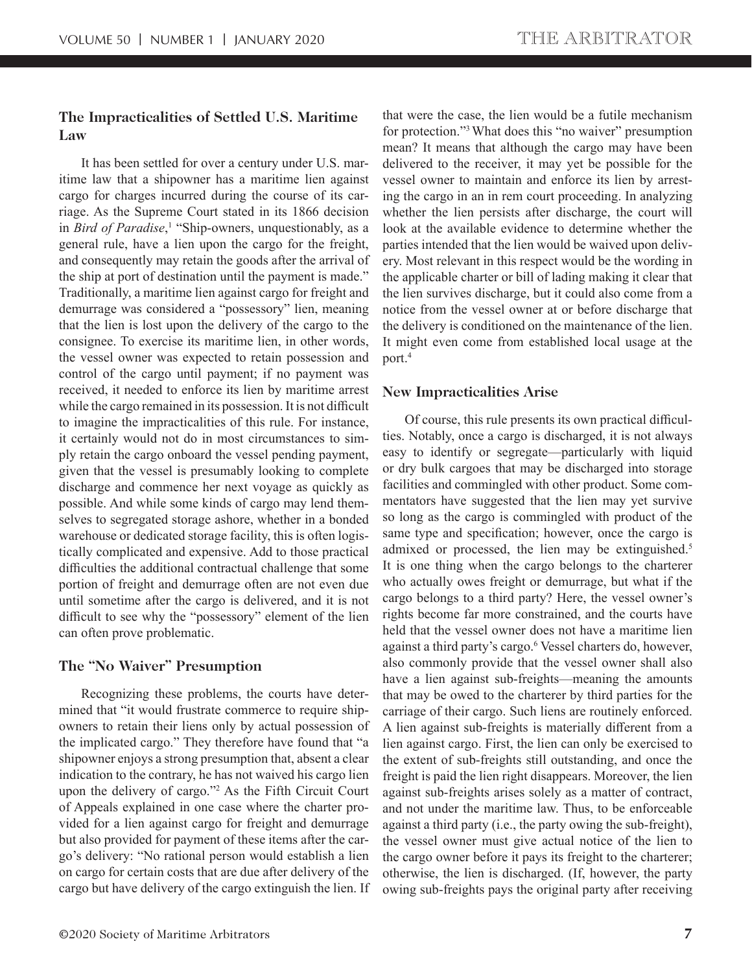#### **The Impracticalities of Settled U.S. Maritime Law**

It has been settled for over a century under U.S. maritime law that a shipowner has a maritime lien against cargo for charges incurred during the course of its carriage. As the Supreme Court stated in its 1866 decision in *Bird of Paradise*,<sup>1</sup> "Ship-owners, unquestionably, as a general rule, have a lien upon the cargo for the freight, and consequently may retain the goods after the arrival of the ship at port of destination until the payment is made." Traditionally, a maritime lien against cargo for freight and demurrage was considered a "possessory" lien, meaning that the lien is lost upon the delivery of the cargo to the consignee. To exercise its maritime lien, in other words, the vessel owner was expected to retain possession and control of the cargo until payment; if no payment was received, it needed to enforce its lien by maritime arrest while the cargo remained in its possession. It is not difficult to imagine the impracticalities of this rule. For instance, it certainly would not do in most circumstances to simply retain the cargo onboard the vessel pending payment, given that the vessel is presumably looking to complete discharge and commence her next voyage as quickly as possible. And while some kinds of cargo may lend themselves to segregated storage ashore, whether in a bonded warehouse or dedicated storage facility, this is often logistically complicated and expensive. Add to those practical difficulties the additional contractual challenge that some portion of freight and demurrage often are not even due until sometime after the cargo is delivered, and it is not difficult to see why the "possessory" element of the lien can often prove problematic.

#### **The "No Waiver" Presumption**

Recognizing these problems, the courts have determined that "it would frustrate commerce to require shipowners to retain their liens only by actual possession of the implicated cargo." They therefore have found that "a shipowner enjoys a strong presumption that, absent a clear indication to the contrary, he has not waived his cargo lien upon the delivery of cargo."2 As the Fifth Circuit Court of Appeals explained in one case where the charter provided for a lien against cargo for freight and demurrage but also provided for payment of these items after the cargo's delivery: "No rational person would establish a lien on cargo for certain costs that are due after delivery of the cargo but have delivery of the cargo extinguish the lien. If

that were the case, the lien would be a futile mechanism for protection."3 What does this "no waiver" presumption mean? It means that although the cargo may have been delivered to the receiver, it may yet be possible for the vessel owner to maintain and enforce its lien by arresting the cargo in an in rem court proceeding. In analyzing whether the lien persists after discharge, the court will look at the available evidence to determine whether the parties intended that the lien would be waived upon delivery. Most relevant in this respect would be the wording in the applicable charter or bill of lading making it clear that the lien survives discharge, but it could also come from a notice from the vessel owner at or before discharge that the delivery is conditioned on the maintenance of the lien. It might even come from established local usage at the port.4

#### **New Impracticalities Arise**

Of course, this rule presents its own practical difficulties. Notably, once a cargo is discharged, it is not always easy to identify or segregate—particularly with liquid or dry bulk cargoes that may be discharged into storage facilities and commingled with other product. Some commentators have suggested that the lien may yet survive so long as the cargo is commingled with product of the same type and specification; however, once the cargo is admixed or processed, the lien may be extinguished.<sup>5</sup> It is one thing when the cargo belongs to the charterer who actually owes freight or demurrage, but what if the cargo belongs to a third party? Here, the vessel owner's rights become far more constrained, and the courts have held that the vessel owner does not have a maritime lien against a third party's cargo.<sup>6</sup> Vessel charters do, however, also commonly provide that the vessel owner shall also have a lien against sub-freights—meaning the amounts that may be owed to the charterer by third parties for the carriage of their cargo. Such liens are routinely enforced. A lien against sub-freights is materially different from a lien against cargo. First, the lien can only be exercised to the extent of sub-freights still outstanding, and once the freight is paid the lien right disappears. Moreover, the lien against sub-freights arises solely as a matter of contract, and not under the maritime law. Thus, to be enforceable against a third party (i.e., the party owing the sub-freight), the vessel owner must give actual notice of the lien to the cargo owner before it pays its freight to the charterer; otherwise, the lien is discharged. (If, however, the party owing sub-freights pays the original party after receiving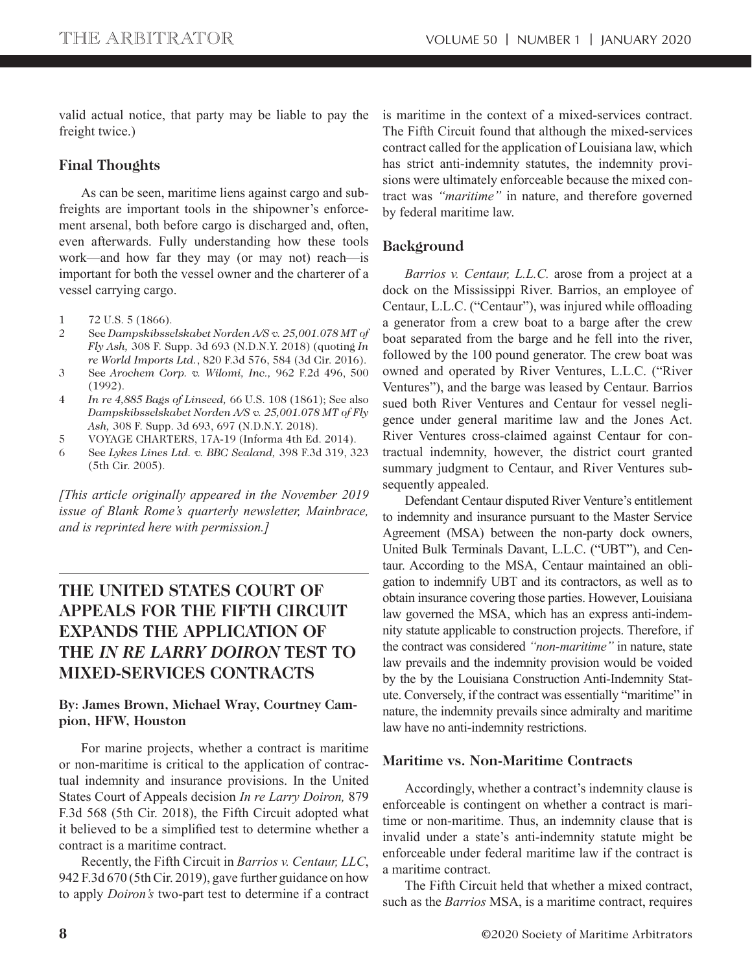valid actual notice, that party may be liable to pay the freight twice.)

#### **Final Thoughts**

As can be seen, maritime liens against cargo and subfreights are important tools in the shipowner's enforcement arsenal, both before cargo is discharged and, often, even afterwards. Fully understanding how these tools work—and how far they may (or may not) reach—is important for both the vessel owner and the charterer of a vessel carrying cargo.

- 1 72 U.S. 5 (1866).
- 2 See *Dampskibsselskabet Norden A/S v. 25,001.078 MT of Fly Ash,* 308 F. Supp. 3d 693 (N.D.N.Y. 2018) (quoting *In re World Imports Ltd.*, 820 F.3d 576, 584 (3d Cir. 2016).
- 3 See *Arochem Corp. v. Wilomi, Inc.,* 962 F.2d 496, 500 (1992).
- 4 *In re 4,885 Bags of Linseed,* 66 U.S. 108 (1861); See also *Dampskibsselskabet Norden A/S v. 25,001.078 MT of Fly Ash,* 308 F. Supp. 3d 693, 697 (N.D.N.Y. 2018).
- 5 VOYAGE CHARTERS, 17A-19 (Informa 4th Ed. 2014).
- 6 See *Lykes Lines Ltd. v. BBC Sealand,* 398 F.3d 319, 323 (5th Cir. 2005).

*[This article originally appeared in the November 2019 issue of Blank Rome's quarterly newsletter, Mainbrace, and is reprinted here with permission.]*

## **THE UNITED STATES COURT OF APPEALS FOR THE FIFTH CIRCUIT EXPANDS THE APPLICATION OF THE** *IN RE LARRY DOIRON* **TEST TO MIXED-SERVICES CONTRACTS**

#### **By: James Brown, Michael Wray, Courtney Campion, HFW, Houston**

For marine projects, whether a contract is maritime or non-maritime is critical to the application of contractual indemnity and insurance provisions. In the United States Court of Appeals decision *In re Larry Doiron,* 879 F.3d 568 (5th Cir. 2018), the Fifth Circuit adopted what it believed to be a simplified test to determine whether a contract is a maritime contract.

Recently, the Fifth Circuit in *Barrios v. Centaur, LLC*, 942 F.3d 670 (5th Cir. 2019), gave further guidance on how to apply *Doiron's* two-part test to determine if a contract is maritime in the context of a mixed-services contract. The Fifth Circuit found that although the mixed-services contract called for the application of Louisiana law, which has strict anti-indemnity statutes, the indemnity provisions were ultimately enforceable because the mixed contract was *"maritime"* in nature, and therefore governed by federal maritime law.

#### **Background**

*Barrios v. Centaur, L.L.C.* arose from a project at a dock on the Mississippi River. Barrios, an employee of Centaur, L.L.C. ("Centaur"), was injured while offloading a generator from a crew boat to a barge after the crew boat separated from the barge and he fell into the river, followed by the 100 pound generator. The crew boat was owned and operated by River Ventures, L.L.C. ("River Ventures"), and the barge was leased by Centaur. Barrios sued both River Ventures and Centaur for vessel negligence under general maritime law and the Jones Act. River Ventures cross-claimed against Centaur for contractual indemnity, however, the district court granted summary judgment to Centaur, and River Ventures subsequently appealed.

Defendant Centaur disputed River Venture's entitlement to indemnity and insurance pursuant to the Master Service Agreement (MSA) between the non-party dock owners, United Bulk Terminals Davant, L.L.C. ("UBT"), and Centaur. According to the MSA, Centaur maintained an obligation to indemnify UBT and its contractors, as well as to obtain insurance covering those parties. However, Louisiana law governed the MSA, which has an express anti-indemnity statute applicable to construction projects. Therefore, if the contract was considered *"non-maritime"* in nature, state law prevails and the indemnity provision would be voided by the by the Louisiana Construction Anti-Indemnity Statute. Conversely, if the contract was essentially "maritime" in nature, the indemnity prevails since admiralty and maritime law have no anti-indemnity restrictions.

#### **Maritime vs. Non-Maritime Contracts**

Accordingly, whether a contract's indemnity clause is enforceable is contingent on whether a contract is maritime or non-maritime. Thus, an indemnity clause that is invalid under a state's anti-indemnity statute might be enforceable under federal maritime law if the contract is a maritime contract.

The Fifth Circuit held that whether a mixed contract, such as the *Barrios* MSA, is a maritime contract, requires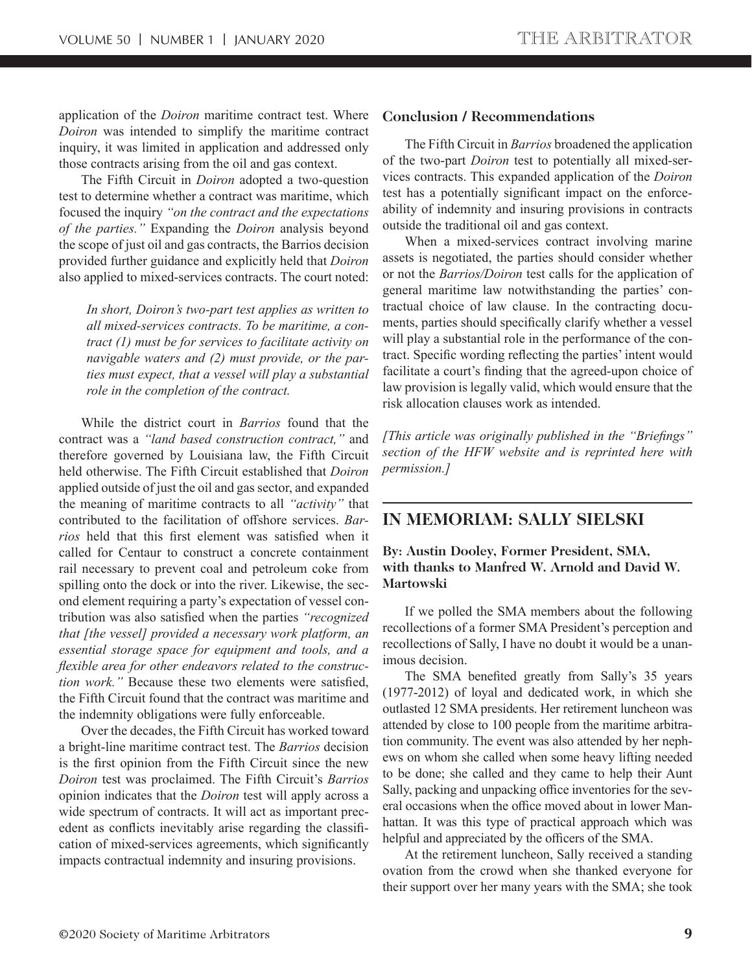application of the *Doiron* maritime contract test. Where *Doiron* was intended to simplify the maritime contract inquiry, it was limited in application and addressed only those contracts arising from the oil and gas context.

The Fifth Circuit in *Doiron* adopted a two-question test to determine whether a contract was maritime, which focused the inquiry *"on the contract and the expectations of the parties."* Expanding the *Doiron* analysis beyond the scope of just oil and gas contracts, the Barrios decision provided further guidance and explicitly held that *Doiron*  also applied to mixed-services contracts. The court noted:

*In short, Doiron's two-part test applies as written to all mixed-services contracts. To be maritime, a contract (1) must be for services to facilitate activity on navigable waters and (2) must provide, or the parties must expect, that a vessel will play a substantial role in the completion of the contract.*

While the district court in *Barrios* found that the contract was a *"land based construction contract,"* and therefore governed by Louisiana law, the Fifth Circuit held otherwise. The Fifth Circuit established that *Doiron*  applied outside of just the oil and gas sector, and expanded the meaning of maritime contracts to all *"activity"* that contributed to the facilitation of offshore services. *Barrios* held that this first element was satisfied when it called for Centaur to construct a concrete containment rail necessary to prevent coal and petroleum coke from spilling onto the dock or into the river. Likewise, the second element requiring a party's expectation of vessel contribution was also satisfied when the parties "recognized *that [the vessel] provided a necessary work platform, an essential storage space for equipment and tools, and a*  flexible area for other endeavors related to the construc*tion work.*" Because these two elements were satisfied, the Fifth Circuit found that the contract was maritime and the indemnity obligations were fully enforceable.

Over the decades, the Fifth Circuit has worked toward a bright-line maritime contract test. The *Barrios* decision is the first opinion from the Fifth Circuit since the new *Doiron* test was proclaimed. The Fifth Circuit's *Barrios*  opinion indicates that the *Doiron* test will apply across a wide spectrum of contracts. It will act as important precedent as conflicts inevitably arise regarding the classification of mixed-services agreements, which significantly impacts contractual indemnity and insuring provisions.

#### **Conclusion / Recommendations**

The Fifth Circuit in *Barrios* broadened the application of the two-part *Doiron* test to potentially all mixed-services contracts. This expanded application of the *Doiron* test has a potentially significant impact on the enforceability of indemnity and insuring provisions in contracts outside the traditional oil and gas context.

When a mixed-services contract involving marine assets is negotiated, the parties should consider whether or not the *Barrios/Doiron* test calls for the application of general maritime law notwithstanding the parties' contractual choice of law clause. In the contracting documents, parties should specifically clarify whether a vessel will play a substantial role in the performance of the contract. Specific wording reflecting the parties' intent would facilitate a court's finding that the agreed-upon choice of law provision is legally valid, which would ensure that the risk allocation clauses work as intended.

*[This article was originally published in the "Briefings" section of the HFW website and is reprinted here with permission.]*

## **IN MEMORIAM: SALLY SIELSKI**

**By: Austin Dooley, Former President, SMA, with thanks to Manfred W. Arnold and David W. Martowski**

If we polled the SMA members about the following recollections of a former SMA President's perception and recollections of Sally, I have no doubt it would be a unanimous decision.

The SMA benefited greatly from Sally's 35 years (1977-2012) of loyal and dedicated work, in which she outlasted 12 SMA presidents. Her retirement luncheon was attended by close to 100 people from the maritime arbitration community. The event was also attended by her nephews on whom she called when some heavy lifting needed to be done; she called and they came to help their Aunt Sally, packing and unpacking office inventories for the several occasions when the office moved about in lower Manhattan. It was this type of practical approach which was helpful and appreciated by the officers of the SMA.

At the retirement luncheon, Sally received a standing ovation from the crowd when she thanked everyone for their support over her many years with the SMA; she took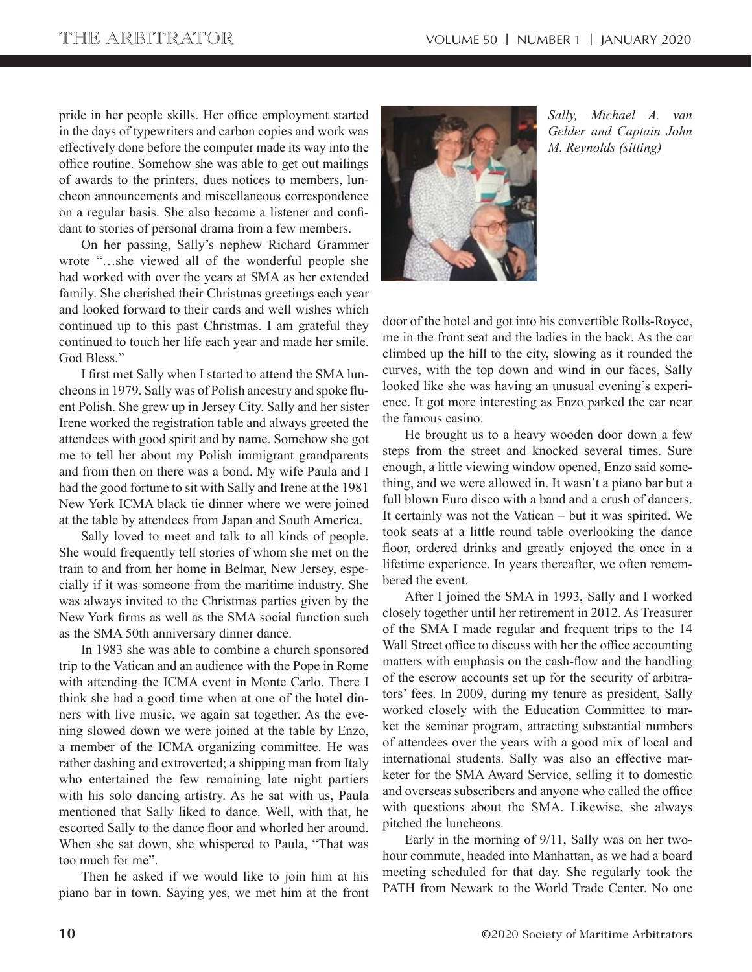pride in her people skills. Her office employment started in the days of typewriters and carbon copies and work was effectively done before the computer made its way into the office routine. Somehow she was able to get out mailings of awards to the printers, dues notices to members, luncheon announcements and miscellaneous correspondence on a regular basis. She also became a listener and confidant to stories of personal drama from a few members.

On her passing, Sally's nephew Richard Grammer wrote "…she viewed all of the wonderful people she had worked with over the years at SMA as her extended family. She cherished their Christmas greetings each year and looked forward to their cards and well wishes which continued up to this past Christmas. I am grateful they continued to touch her life each year and made her smile. God Bless."

I first met Sally when I started to attend the SMA luncheons in 1979. Sally was of Polish ancestry and spoke fluent Polish. She grew up in Jersey City. Sally and her sister Irene worked the registration table and always greeted the attendees with good spirit and by name. Somehow she got me to tell her about my Polish immigrant grandparents and from then on there was a bond. My wife Paula and I had the good fortune to sit with Sally and Irene at the 1981 New York ICMA black tie dinner where we were joined at the table by attendees from Japan and South America.

Sally loved to meet and talk to all kinds of people. She would frequently tell stories of whom she met on the train to and from her home in Belmar, New Jersey, especially if it was someone from the maritime industry. She was always invited to the Christmas parties given by the New York firms as well as the SMA social function such as the SMA 50th anniversary dinner dance.

In 1983 she was able to combine a church sponsored trip to the Vatican and an audience with the Pope in Rome with attending the ICMA event in Monte Carlo. There I think she had a good time when at one of the hotel dinners with live music, we again sat together. As the evening slowed down we were joined at the table by Enzo, a member of the ICMA organizing committee. He was rather dashing and extroverted; a shipping man from Italy who entertained the few remaining late night partiers with his solo dancing artistry. As he sat with us, Paula mentioned that Sally liked to dance. Well, with that, he escorted Sally to the dance floor and whorled her around. When she sat down, she whispered to Paula, "That was too much for me".

Then he asked if we would like to join him at his piano bar in town. Saying yes, we met him at the front



*Sally, Michael A. van Gelder and Captain John M. Reynolds (sitting)*

door of the hotel and got into his convertible Rolls-Royce, me in the front seat and the ladies in the back. As the car climbed up the hill to the city, slowing as it rounded the curves, with the top down and wind in our faces, Sally looked like she was having an unusual evening's experience. It got more interesting as Enzo parked the car near the famous casino.

He brought us to a heavy wooden door down a few steps from the street and knocked several times. Sure enough, a little viewing window opened, Enzo said something, and we were allowed in. It wasn't a piano bar but a full blown Euro disco with a band and a crush of dancers. It certainly was not the Vatican – but it was spirited. We took seats at a little round table overlooking the dance floor, ordered drinks and greatly enjoyed the once in a lifetime experience. In years thereafter, we often remembered the event.

After I joined the SMA in 1993, Sally and I worked closely together until her retirement in 2012. As Treasurer of the SMA I made regular and frequent trips to the 14 Wall Street office to discuss with her the office accounting matters with emphasis on the cash-flow and the handling of the escrow accounts set up for the security of arbitrators' fees. In 2009, during my tenure as president, Sally worked closely with the Education Committee to market the seminar program, attracting substantial numbers of attendees over the years with a good mix of local and international students. Sally was also an effective marketer for the SMA Award Service, selling it to domestic and overseas subscribers and anyone who called the office with questions about the SMA. Likewise, she always pitched the luncheons.

Early in the morning of 9/11, Sally was on her twohour commute, headed into Manhattan, as we had a board meeting scheduled for that day. She regularly took the PATH from Newark to the World Trade Center. No one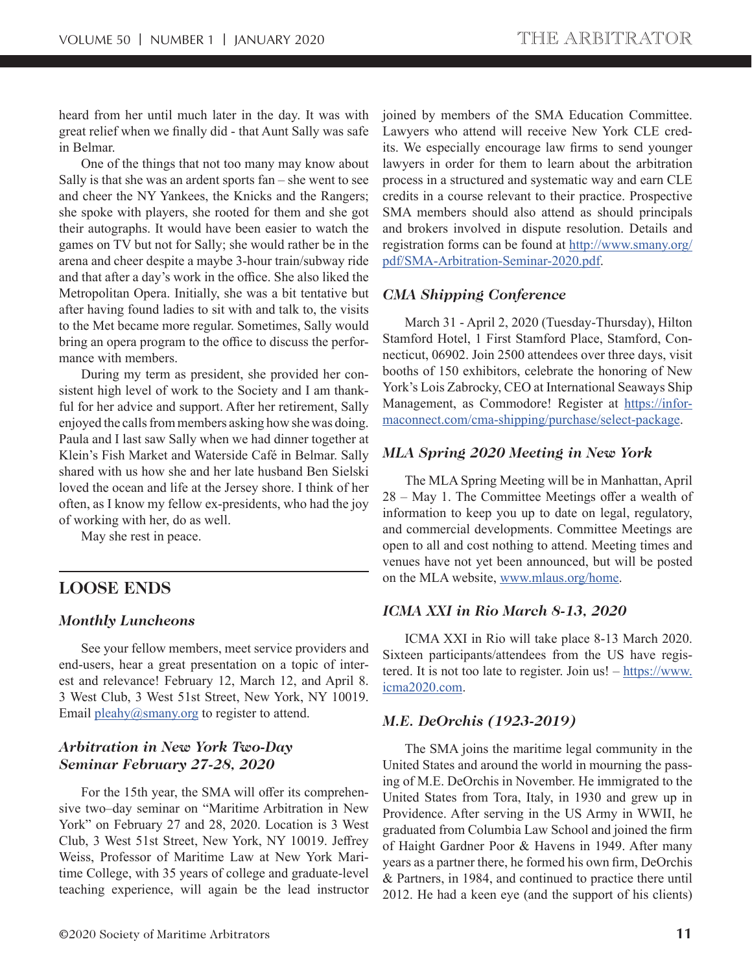heard from her until much later in the day. It was with great relief when we finally did - that Aunt Sally was safe in Belmar.

One of the things that not too many may know about Sally is that she was an ardent sports fan – she went to see and cheer the NY Yankees, the Knicks and the Rangers; she spoke with players, she rooted for them and she got their autographs. It would have been easier to watch the games on TV but not for Sally; she would rather be in the arena and cheer despite a maybe 3-hour train/subway ride and that after a day's work in the office. She also liked the Metropolitan Opera. Initially, she was a bit tentative but after having found ladies to sit with and talk to, the visits to the Met became more regular. Sometimes, Sally would bring an opera program to the office to discuss the performance with members.

During my term as president, she provided her consistent high level of work to the Society and I am thankful for her advice and support. After her retirement, Sally enjoyed the calls from members asking how she was doing. Paula and I last saw Sally when we had dinner together at Klein's Fish Market and Waterside Café in Belmar. Sally shared with us how she and her late husband Ben Sielski loved the ocean and life at the Jersey shore. I think of her often, as I know my fellow ex-presidents, who had the joy of working with her, do as well.

May she rest in peace.

## **LOOSE ENDS**

#### *Monthly Luncheons*

See your fellow members, meet service providers and end-users, hear a great presentation on a topic of interest and relevance! February 12, March 12, and April 8. 3 West Club, 3 West 51st Street, New York, NY 10019. Email  $pleahy@smany.org$  to register to attend.

#### *Arbitration in New York Two-Day Seminar February 27-28, 2020*

For the 15th year, the SMA will offer its comprehensive two–day seminar on "Maritime Arbitration in New York" on February 27 and 28, 2020. Location is 3 West Club, 3 West 51st Street, New York, NY 10019. Jeffrey Weiss, Professor of Maritime Law at New York Maritime College, with 35 years of college and graduate-level teaching experience, will again be the lead instructor joined by members of the SMA Education Committee. Lawyers who attend will receive New York CLE credits. We especially encourage law firms to send younger lawyers in order for them to learn about the arbitration process in a structured and systematic way and earn CLE credits in a course relevant to their practice. Prospective SMA members should also attend as should principals and brokers involved in dispute resolution. Details and registration forms can be found at http://www.smany.org/ pdf/SMA-Arbitration-Seminar-2020.pdf.

#### *CMA Shipping Conference*

March 31 - April 2, 2020 (Tuesday-Thursday), Hilton Stamford Hotel, 1 First Stamford Place, Stamford, Connecticut, 06902. Join 2500 attendees over three days, visit booths of 150 exhibitors, celebrate the honoring of New York's Lois Zabrocky, CEO at International Seaways Ship Management, as Commodore! Register at https://informaconnect.com/cma-shipping/purchase/select-package.

#### *MLA Spring 2020 Meeting in New York*

The MLA Spring Meeting will be in Manhattan, April  $28 - May 1$ . The Committee Meetings offer a wealth of information to keep you up to date on legal, regulatory, and commercial developments. Committee Meetings are open to all and cost nothing to attend. Meeting times and venues have not yet been announced, but will be posted on the MLA website, www.mlaus.org/home.

#### *ICMA XXI in Rio March 8-13, 2020*

ICMA XXI in Rio will take place 8-13 March 2020. Sixteen participants/attendees from the US have registered. It is not too late to register. Join us!  $-\frac{https://www.}{https://www.}$ icma2020.com.

#### *M.E. DeOrchis (1923-2019)*

The SMA joins the maritime legal community in the United States and around the world in mourning the passing of M.E. DeOrchis in November. He immigrated to the United States from Tora, Italy, in 1930 and grew up in Providence. After serving in the US Army in WWII, he graduated from Columbia Law School and joined the firm of Haight Gardner Poor & Havens in 1949. After many years as a partner there, he formed his own firm, DeOrchis & Partners, in 1984, and continued to practice there until 2012. He had a keen eye (and the support of his clients)